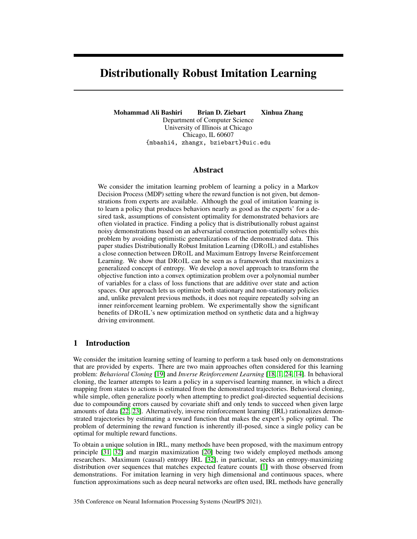# Distributionally Robust Imitation Learning

Mohammad Ali Bashiri Brian D. Ziebart Xinhua Zhang Department of Computer Science University of Illinois at Chicago Chicago, IL 60607 {mbashi4, zhangx, bziebart}@uic.edu

## Abstract

We consider the imitation learning problem of learning a policy in a Markov Decision Process (MDP) setting where the reward function is not given, but demonstrations from experts are available. Although the goal of imitation learning is to learn a policy that produces behaviors nearly as good as the experts' for a desired task, assumptions of consistent optimality for demonstrated behaviors are often violated in practice. Finding a policy that is distributionally robust against noisy demonstrations based on an adversarial construction potentially solves this problem by avoiding optimistic generalizations of the demonstrated data. This paper studies Distributionally Robust Imitation Learning (DROIL) and establishes a close connection between DROIL and Maximum Entropy Inverse Reinforcement Learning. We show that DROIL can be seen as a framework that maximizes a generalized concept of entropy. We develop a novel approach to transform the objective function into a convex optimization problem over a polynomial number of variables for a class of loss functions that are additive over state and action spaces. Our approach lets us optimize both stationary and non-stationary policies and, unlike prevalent previous methods, it does not require repeatedly solving an inner reinforcement learning problem. We experimentally show the significant benefits of DROIL's new optimization method on synthetic data and a highway driving environment.

## 1 Introduction

We consider the imitation learning setting of learning to perform a task based only on demonstrations that are provided by experts. There are two main approaches often considered for this learning problem: *Behavioral Cloning* [\[19\]](#page-10-0) and *Inverse Reinforcement Learning* [\[18,](#page-10-1) [1,](#page-10-2) [24,](#page-11-0) [14\]](#page-10-3). In behavioral cloning, the learner attempts to learn a policy in a supervised learning manner, in which a direct mapping from states to actions is estimated from the demonstrated trajectories. Behavioral cloning, while simple, often generalize poorly when attempting to predict goal-directed sequential decisions due to compounding errors caused by covariate shift and only tends to succeed when given large amounts of data [\[22,](#page-11-1) [23\]](#page-11-2). Alternatively, inverse reinforcement learning (IRL) rationalizes demonstrated trajectories by estimating a reward function that makes the expert's policy optimal. The problem of determining the reward function is inherently ill-posed, since a single policy can be optimal for multiple reward functions.

To obtain a unique solution in IRL, many methods have been proposed, with the maximum entropy principle [\[31,](#page-11-3) [32\]](#page-11-4) and margin maximization [\[20\]](#page-10-4) being two widely employed methods among researchers. Maximum (causal) entropy IRL [\[32\]](#page-11-4), in particular, seeks an entropy-maximizing distribution over sequences that matches expected feature counts [\[1\]](#page-10-2) with those observed from demonstrations. For imitation learning in very high dimensional and continuous spaces, where function approximations such as deep neural networks are often used, IRL methods have generally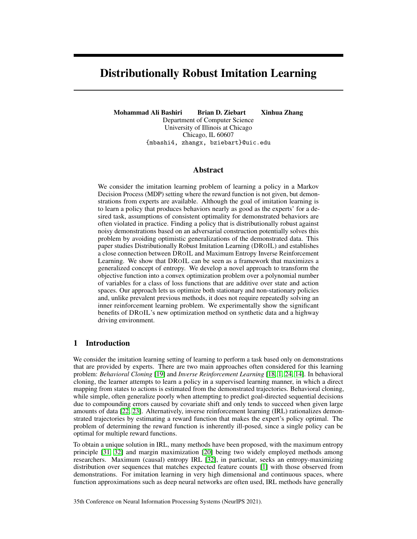been less efficient than behavioral cloning methods [\[13\]](#page-10-5) since they require reinforcement learning as an inner loop. Recent adversarial IRL methods [\[10,](#page-10-6) [9,](#page-10-7) [25\]](#page-11-5), however, seem more likely to be effective.

A common assumption in imitation learning is that all expert behaviors have the same level of trustworthiness and are optimal/near-optimal [\[30\]](#page-11-6). However, it is common for noisy expert behaviors to violate this optimality assumption in practice. Thus, relying heavily on the optimality of the expert's behavior may degrade an imitation learner, making it prone to failure [\[30\]](#page-11-6). Existing methods have proposed to inject noise into the expert's policy demonstrations to obtain a more robust policy [\[15\]](#page-10-8), or to train a discriminator that distinguishes between expert trajectories and generated trajectories that learns reward functions that are robust to changes in dynamics [\[11\]](#page-10-9).

An alternative approach to obtain a robust policy, which we adopt in this work, is to search for a policy that is distributionally robust given the training data. For this purpose, the learner's policy is obtained by solving a game between a learner and an adversary [\[5\]](#page-10-10), where the learner seeks to minimize a loss defined between them, and the adversary seeks to maximize this loss by choosing a distribution over policies subject to a set of constraints that match statistics from the training data. This approach leverages two uncertainty sets as opposed to typical Distributionally Robust Optimization (DRO) methods [\[4,](#page-10-11) [6\]](#page-10-12) where the uncertainty set is only defined over the adversary (demonstrator-estimator) and the learner's policy is assumed to have a specific parametric form. Previous work [\[5\]](#page-10-10) proposed to solve imitation learning under an adversarial formulation using the Double Oracle method [\[17\]](#page-10-13) to solve the corresponding optimization. However, this method may take up to exponential time in the size of state-action space and decision horizon.

In this paper, we connect Distributionally Robust Imitation Learning (DROIL) and Maximum Entropy Inverse Reinforcement Learning (MaxEnt IRL) by showing that MaxEnt IRL is a special case of DROIL when a certain loss function and policy description is used. We then show that DROIL is a framework for maximizing a *general* entropy function that is defined based on a particular loss of interest. We then cast DROIL's objective function into a convex optimization problem over a polynomial number of variables, which is simpler to understand and implement and also significantly improves the training time. We extend the formulation to stationary policies, which enables us to experimentally show the benefits of learning a robust policy in a highway driving simulation.

## 2 Preliminaries

We model sequential decision making problems using discrete Markov Decision Processes (MDPs). A MDP M is specified by a tuple  $(S, A, \eta, R, \gamma, P_0)$  where: S and A are state and action (control input) spaces (assumed to be finite,  $iSj$ ,  $jAj < 1$ );  $P_0$  is the initial state distribution; represents the transition probabilities, the state distribution upon taking action a in state s,  $P(s^{\theta}ja, s)$ ; reward function  $R: \overline{S}$  - A ! R; and discount factor  $\gamma \neq (0, 1]$ . We assume feature vectors  $\phi : S$  - A !  $[0, 1]$ <sup>d</sup> over state-action pairs that capture the most salient properties distinguishing preferred and nonpreferred trajectories where  $R$  can be written as a (linear) function of these feature vectors given a reward vector w:  $R(s, a) = \mathbf{w} \phi(s, a)$ .

A policy  $\pi$  2 is the probability of taking action a in state s,  $\pi(a, s) = P(a/s)$  and represents the set of all possible stochastic policies. Demonstrations by an expert are given as a set of trajectories  $D = f\tau^1$ , ,  $\tau^m g$ . A trajectory is a sequence of state-action pairs  $\tau = (s_0, a_0, \dots, s_T, a_T)$  over horizon T. From an optimization perspective, *Imitation Learning with a General Loss*, finds a policy  $\hat{\pi}$  that minimizes the difference between learner behavior and expert behavior  $\pi_F$ :

$$
\hat{\pi} \, 2 \operatorname{argmin} \, L(\pi, \pi_E), \, \text{if}
$$

where  $\angle$  measures the dissimilarity between two policies' behaviors.

Having access to only sample demonstrations of a policy for training, it is essential to quantify the behavior of a policy. Commonly used in behavioral cloning, one approach is to measure the marginal distribution of states and actions,  $P(s, a)$  induced by a policy. Note that in the case of infinite-horizon MDPs, expected (discounted) number of visits to state-action pairs is used. A more desirable measure for long horizons is the expectation of trajectory features [\[1\]](#page-10-2). This approach is often used in inverse reinforcement learning, where a reward function of the features is learned. The expected (discounted

<span id="page-1-0"></span><sup>&</sup>lt;sup>1</sup>We overload  $\mathcal L$  for any type of loss in different contexts (e.g., loss between deterministic policies or states).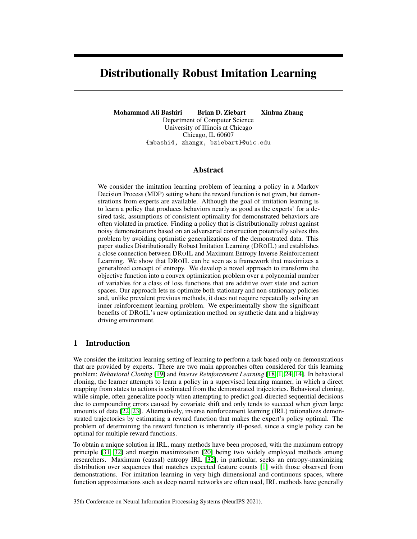if  $\gamma$  2 (0, 1)) feature of a policy  $\pi$  (similar to [\[1\]](#page-10-2)) is defined as:

<span id="page-2-0"></span>
$$
\mu(\pi) = \mathbb{E}\left[\sum_{t=0}^{T} \gamma^t \phi(s_t, a_t) | \pi, \right] \geq \mathbb{R}^d. \tag{1}
$$

# 3 Robust Imitation Learning and Maximum Entropy

Foundational work [\[27,](#page-11-7) [12\]](#page-10-14) has developed a close relationship between robust Bayes decisions, maximum entropy, and minimizing worst-case expected loss also known as adversarial learning. Several works have followed this framework of robustness for different supervised learning problems, such as cost-sensitive classification [\[2\]](#page-10-15), multivariate loss prediction [\[29\]](#page-11-8), ordinal regression [\[7\]](#page-10-16), and graphical models [\[8\]](#page-10-17). For the imitation learning setting, [\[5\]](#page-10-10) has applied the adversarial learning framework on inverse reinforcement learning problem for a restricted class of loss functions and proposed a double oracle algorithm [\[17\]](#page-10-13) to solve the corresponding optimization problem.

In the following, we define a general framework of distributional robustness for imitation learning to obtain the policy that robustly minimizes an imitative loss:

<span id="page-2-1"></span>Definition 1. *Given an imitative loss function* L *that measures the distance of two policies' behavior,* Distributionally Robust Imitation Learning (DROIL) *is defined as a two-player zero-sum game between the learner and the demonstrator, in which each player chooses a distribution over control policies - constructing a stochastic policy,*  $\hat{\pi}$  *and*  $\pi$  2  $\tilde{\tau}$ *, then the players receive the loss between the behaviors*  $L(\hat{\pi}, \pi)$  *as their payoff. The minimax strategy for the learner is given by:* 

<span id="page-2-3"></span>
$$
\min_{2^-} \max_{2^-} L(\hat{\pi}, \pi), \tag{2}
$$

*where* ~ *is a set of constraints characterized by the demonstrated data.*

Generally,  $\tilde{C}$  can be in the form of moment matching in [\(1\)](#page-2-0) that is commonly used in inverse reinforcement learning:

$$
\pi 2 \sim \mathcal{B} \mathbb{E} \Big[ \sum_{t=0}^T \gamma^t \phi(s_t, a_t) \big| \pi, \Big] = \mu \quad \mathbb{E} \Big[ \sum_{t=0}^T \gamma^t \phi(s_t, a_t) \big| \pi_E, \Big],
$$

where  $\pi_F$  represents the policy that demonstrated trajectories are generated from.

This formulation assumes that except for certain properties of the limited samples of available demonstrated behavior, the demonstrator's policy is the worst-case possible for the learner. This approach avoids generalizing from available demonstrations in an optimistic manner that may be unrealistic and lead to a policy that does not work well in practice, especially in situations where there is noise in the demonstrated behaviors.

The minimax formulation in Definition [1](#page-2-1) is closely related to the principle of maximum entropy, which is used in Maximum Entropy Inverse Reinforcement Learning (MaxEnt IRL) [\[31\]](#page-11-3). MaxEnt IRL provides a probabilistic approach under the constraint of matching the reward value of demonstrated behavior to resolve the ambiguity in choosing a distribution over decisions. Under this model, trajectories with equivalent rewards have equal probabilities, and trajectories with higher rewards are exponentially more preferred according to the following:

<span id="page-2-2"></span>
$$
P(\zeta_i/\mathbf{w}) = \frac{1}{Z(\mathbf{w})}e^{\mathbf{w}^\top \ \zeta_i},\tag{3}
$$

where  $\zeta_i$  and represent a trajectory and its corresponding sum of features.

Note that a distribution over trajectories (paths) is an alternative policy description that provides a stochastic policy where the probability of an action is weighted by the expected exponentiated rewards of all paths that begin with that action:

$$
P(a/\mathbf{w}) \, \diagup \, \sum_{\mathbf{a} \geq t_{\mathbf{a} = \mathbf{0}}} P(\zeta/\mathbf{w}).
$$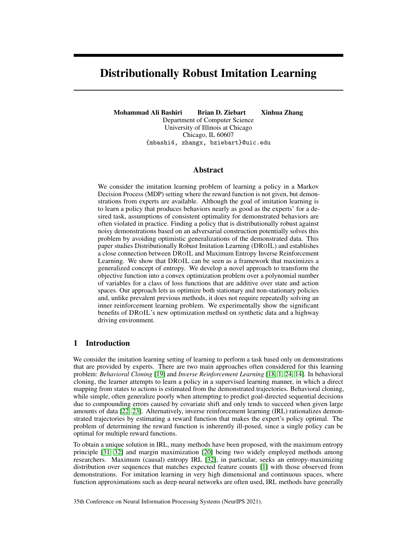To show the connection between DROIL and MaxEnt IRL, we employ a tool from the general theory of exponential families [\[3\]](#page-10-18) that shows for certain classes of two-player zero-sum games, there exists a parametric distribution for the minimax strategy, as shown in Lemma [1.](#page-3-0)

<span id="page-3-0"></span>Lemma 1 (Barndorff-Nielsen [\[3\]](#page-10-18)). *Let* p 2 *be a probability distribution over space* X*, where:*  $=$   $\hat{\tau}$   $\in$   $\mathcal{F}_{p}(\tau(X))$  = Cg describes a mean-value constraint;  $\tau(X)$  represents a vector value *statistic; and* C *is a constant. Let* q *be also a distribution chosen from the set of all probability mass functions. For the maximum entropy distribution,* max $_{q2}$  min<sub>p</sub>  $E$ [ log  $q(X)$ ]*,*  $p = q$  *exists as a parameterized function of the form*  $p = \exp f \alpha_0 + \frac{1}{2} \int (X) q w t h$  *parameters*  $\alpha_0$  *and*.

Equipped with Lemma [1,](#page-3-0) we develop a connection between DROIL and MaxEnt IRL in Theorem [1.](#page-3-1)

<span id="page-3-1"></span>Theorem 1. *The stochastic policy* P(ζ<sup>i</sup> jw) *obtained from MaxEnt IRL in Equation* [\(3\)](#page-2-2) *is obtained from* DROIL *minimax strategy in Definition [1](#page-2-1) when the logarithmic loss is used.*

*Proof.* We construct a stochastic policy in Definition [1](#page-2-1) as a probability distribution over all possible trajectories  $f\zeta_1, ..., \zeta_M g$ . Let  $\hat{\pi} = P(\zeta)$  and  $\pi = Q(\zeta)$  be the probability distributions of the learner and the demonstrator, respectively. The expected feature of demonstrator now can be written as  $\mu = \sum_i Q(\zeta_i) \phi_i$ , which resembles the mean value constraint in Lemma [1,](#page-3-0) therefore, for logarithmic loss,  $P(\zeta_i) = Q(\zeta_i) = \exp f w_0 + \mathbf{w}^> \phi_i g$ . П

We can generalize beyond the logarithmic loss and resulting maximum entropy policy (Theorem [1\)](#page-3-1) to other losses of interest by using Generalized Entropy functions,  $H(P) := \inf_{Q} E[L(P, Q)].$ Proposition [1](#page-3-2) describes the relation between DROIL and generalized maximum entropy.

<span id="page-3-2"></span>Proposition 1. *For any policy descriptions and loss functions that* DROIL *in Definition [1](#page-2-1) has Nash equilibrium,*  $\hat{\pi}$  *is a robust action and*  $\pi$  *is the maximizer of a generalized entropy function.* 

Proposition [1](#page-3-2) provides a general approach to resolve the ambiguity of matching constraints—where many policies lead to the same feature counts—by choosing either a policy  $\pi$  that does not exhibit any additional preferences beyond matching feature expectations with respect to a loss of interest  $\perp$ (maximum generalized entropy) or a policy  $\hat{\pi}$  that minimizes the worst-case expected loss. This can be seen as Maximum Generalized Entropy Inverse Reinforcement Learning, where the choice of loss function is not restricted to the logarithmic loss function.

We extend the following lemma that describes a class of loss functions and policies for which the solution of the game in Definition [1](#page-2-1) exists, thus Proposition [1](#page-3-2) can be applied.

<span id="page-3-3"></span>**Lemma 2.** *For the game in Definition [1,](#page-2-1) where learner*  $\hat{\pi}$  *and demonstrator*  $\pi$  *simultaneously choose a stochastic policy, if the loss function is additive and the payoff can be written as a bilinear function:*  $\sum_{i=1}^n \sum_{j=1}^m l_{ij} \hat{\pi}_i \hat{\pi}_j$ , the game has a solution and minimax (maximin) strategy producing the solution *as long as* m *and* n *are finite.*

*Proof.* In his generalized minmax theorem, Von Neumann [\[28\]](#page-11-9) shows that bilinear games with arbitrary nonempty closed, bounded convex sets of actions have saddle points as long as m and n are finite. Assuming the demonstrated data are generated from a policy (optimality not necessary) the convex moment matching constrained in Definition [1](#page-2-1) keeps ~ closed, bounded, and non-empty.  $\Box$ 

<span id="page-3-4"></span>Example 1. *One illustrating example is to let each player's pure strategy to be a deterministic policy* δ *and define the loss as the expectation over a given loss between each individual deterministic policies. A mixed strategy now represents a stochastic policy* π*, which is a probability distribution over the set of all deterministic policies and Equation* [\(2\)](#page-2-3) *can be written as a bilinear game with*  $p \text{ayoff} \sum_{i=1}^{n} \sum_{j=1}^{m} l_{ij} P(\hat{\delta}_i) P(\delta_j)$  where  $l_{ij}$  is  $\mathcal{L}(\hat{\delta}_i \delta_j)$ *.* 

Lemma [2](#page-3-3) describes a restricted class of loss functions (e.g., that the logarithmic loss does not belong to) for which the resulting policy is the maximizer of a more flexible concept of entropy. A class of loss functions of interest are loss functions that are additive over state and action spaces. Similar to Example [1,](#page-3-4) previous work [\[5\]](#page-10-10) constructs a policy using a distribution over deterministic policies and for additive loss function by writing Equation [\(2\)](#page-2-3) as a bilinear game and solving the corresponding optimization. We also focus on this class of loss functions. However, we provide an efficient optimization algorithm for this class of loss functions that avoids the exponential worst-case time complexity of the previous double oracle [\[17\]](#page-10-13) approach.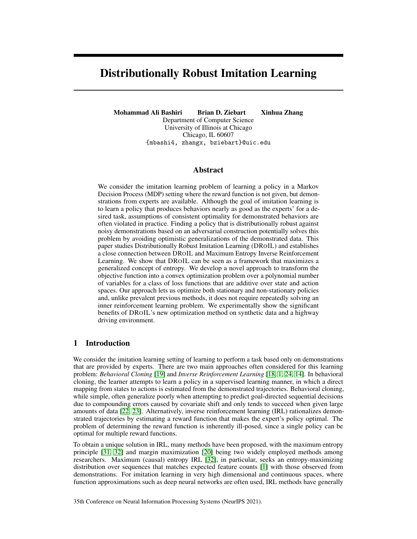# 4 Learning and Inference

To solve the optimization problem in Equation [\(2\)](#page-2-3), one needs to specify the policy description  $\pi$ , and the distance measure between two policies' behaviors  $\mathcal{L}$ . The choice of  $\pi$  and  $\mathcal{L}$  can result in different algorithmic approaches.

#### 4.1 Double Oracle

In [\[5\]](#page-10-10), the authors construct the learner and the demonstrator stochastic policies as mixtures of deterministic nonstationary policies. Concretely, let  $f\delta_1$ ,  $\delta_2$ , ...g, be the set of all possible nonstationary deterministic policies, then  $\hat{\pi}$  :=  $P(f\hat{\delta} 2 q)$  and  $\pi = P(f\delta 2$ g). Note that  $j \neq 2$   $O(jAj^{15jT})$  which is exponential in size of state space and time horizon,  $|S|$ , T. Assuming the loss function is additive over state-action pairs, [\[5\]](#page-10-10) shows that Equation [\(2\)](#page-2-3) can be written as a bilinear game:

<span id="page-4-0"></span>

|                  | Ò1                                           | $\delta_2$                               | 0i                                     |
|------------------|----------------------------------------------|------------------------------------------|----------------------------------------|
| $\hat{\delta}_1$ | $\bar{\mathcal{L}}(\hat{\delta}_1,\delta_1)$ | $\overline{L}(\hat{\delta}_1, \delta_2)$ | $\mathcal{L}(\hat{\delta}_1,\delta_i)$ |
|                  | $+\psi(\delta_1)$                            | $+\psi(\delta_2)$                        | $+\psi(\delta_i)$                      |
| $\hat{\delta}_2$ | $\mathcal{L}(\hat{\delta}_2, \delta_1)$      | $\mathcal{L}(\hat{\delta}_2, \delta_2)$  | $\mathcal{L}(\hat{\delta}_2,\delta_i)$ |
|                  | $+\psi(\delta_1)$                            | $+\psi(\delta_2)$                        | $+\psi(\delta_i)$                      |
|                  |                                              |                                          |                                        |
| $\delta_i$       | $\mathcal{L}(\hat{\delta}_i, \delta_1)$      | $\mathcal{L}(\hat{\delta}_i, \delta_2)$  | $\mathcal{L}(\hat{\delta}_i,\delta_i)$ |
|                  | $+\psi(\delta_1)$                            | $\psi(\delta_2)$                         | $\psi(\delta_i)$                       |

Table 1: Payoff matrix of  $G(\hat{\pi}, \pi | \mathbf{w})$  with loss function L, deterministic policies  $\delta$  and Lagrangian potentials  $\psi$ .

$$
\min_{\mathbf{w}} \overbrace{\min_{j} \min \max \sum_{j} \sum_{j} p(\delta_{i}) p(\delta_{j}) \mathcal{L}(\hat{\delta}_{i}, \delta_{j}) + \sum_{j} p(\delta_{j}) \underbrace{\mathbf{w} \mathcal{E}[\phi/\delta_{j}]}_{(j)}} w -
$$

This will result in a matrix game of exponential size in the number of states  $S$  and time horizon, as shown in Table [1.](#page-4-0) To obtain the Lagrange variables w, this matrix game needs to be repeatedly solved to compute the gradient with respect to w. This requires solving a linear program with  $O(jA<sup>jS</sup>)<sup>T</sup>$ ) variables with a simplex constraint, which is impractical for even modestly sized problems. To mitigate this problem, they employed the double oracle method [\[17\]](#page-10-13) in an attempt to construct a smaller sub-portion of the matrix by gradually adding pure actions through solving a time-varying control problem. However, there is no guarantee that the support set of Nash-equilibrium of the defined game is small and the algorithm may need to solve up to an exponential number of timevarying optimal control problems.

#### 4.2 State-Action Distribution

We propose an alternative way to transform the optimization in Equation [\(2\)](#page-2-3) into a convex problem. Our approach is based on using state-action marginals to construct the stochastic policies of learner and the demonstrator, where the number of required variables is linear in  $\frac{1}{S}$  and  $\frac{1}{A}$ , and it can also be extended to stationary policies. In the following, we first look at the non-stationary case and then extend our method to stationary policies.

A policy  $\pi$  induces a probability distribution  $P_t(s)$  over the states of an MDP  $\mathcal M$  at each time step. State-action marginals are similarly defined as  $P_t(s, a) = P_t(s)\pi_t(a|s)$ . A *valid state-action marginal* is a set of simplices corresponding to each time-step that satisfy the Bellman flow constraints for a given MDP M. Let  $P_t(s, a)$  2 be the probability of state-action pairs  $(a, b)$  at time t; a valid marginal distribution **P** 2 satisfies the following affine constraints: for all  $s^{\theta}$ ,<br>  $\sum_{s,a} P_t(s, a) P(s^{\theta} | s, a) = \sum_a P_{t+1}(s^{\theta}, a)$ , where  $P(s^{\theta} | s, a)$  2 and represents the set of all valid marginal distribution for a given MDP  $\mathcal{M}$ .

Employing state-action marginals allows us to write the objective function in Equation [\(2\)](#page-2-3) as a convex problem of  $O(jAjjS/T)$  variables as shown in Theorem [2](#page-4-1) in a vectorized form.

<span id="page-4-1"></span>Theorem 2. *For an additive loss function over states and actions* L*, Solving* DROIL *optimization in Equation* [\(2\)](#page-2-3) *is equivalent to solving the following convex minimax problem over marginal state-action probabilities of the learner*  $P = (p_1, ..., p_T)$  *and demonstrator*  $Q = (q_1, ..., q_T)$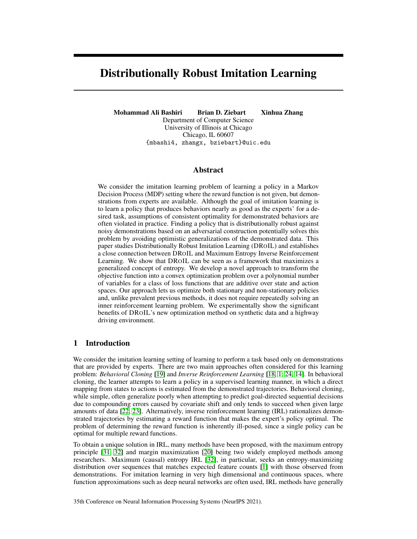*parameterized with Lagrange multipliers* w*:*

$$
\min_{\mathbf{w}} \max_{\mathbf{Q} \ge \mathbf{P} 2} \min_{\mathbf{P} \ge 0} \left[ \sum_{t=0}^{T} \mathbf{p}_t^{\ge} L \mathbf{q}_t + \mathbf{w}^{\ge -2} \mathbf{q}_t \right] \quad \mathbf{w}^{\ge -2}, \tag{4}
$$

where  $p_t$  (similarly  $q_t$ ) is a vector of size  $|\overline{A}|/|S|$  storing marginal probability of state-action pairs at time t:  $P_t(s, a)$ ; L is the general loss function that is defined over state-action pairs L :  $jAjjSj-JAjjSj$ .  $\phi$  is a  $d$  -  $jAjjSj$  matrix storing the feature function for each state-action pair. We denote system dynamics with , which is a matrix of size  $jAjjSj$   $jSj$  storing transition probabilities  $P(s^0/s, a)$ .

Intuitively, each player in the above formulation searches over a *valid* state-action distribution to reach an equilibrium. One of the benefits of constructing a policy using marginals is that the feature expectation can be written as an inner product of the state-action distribution and the state-action feature vector. Thus, the demonstrator's expected feature is  $\mu(\mathbf{Q}) = \sum_{t=0}^{T} \mathbf{q}_t$ , and the feature matching constraint is realized by minimizing  $\mathbf{w}^>(\sum_{t=0}^T \mathbf{q}_t - \gamma)$  over dual variables w. Writing the objective function in Equation [\(2\)](#page-2-3) in terms of state-action marginal probabilities reduces the number of variables needed to represent the equilibrium from  $O(jAj^{s}^{j})$  to  $O(jAj^{s})$ . The unconstrained optimization over dual variables w can be solved using any gradient descent method where the gradient is given by  $\sum_{t=0}^{T}$   $\mathbf{q}_t$   $\sim$  and Q is the solution of the following game for the current  $w_t$ :

$$
G(\mathbf{w}_t) = \max_{\mathbf{Q}_t} \min_{\mathbf{P}_t} \left[ \sum_{t=0}^T \mathbf{p}_t^{\geq t} L \mathbf{q}_t + \mathbf{w}_t^{\geq t-2} \mathbf{q}_t \right]. \tag{5}
$$

#### 4.3 Stationary Policy

Our approach extends with some modifications to the stationary policy setting. Stationary policies are desirable because they are simpler to describe, and are more natural and intuitive in terms of the behavior that they prescribe. Similar to state-action marginals, we utilize an *occupancy measure*  $\rho : S \to A$ !  $R^+ \int 0$  to characterize a stationary policy  $\pi$ . It is defined as the expected (discounted) number of visits to state-action pair  $(s, a)$ , when following policy  $\pi$  and can be written as a feasible set of affine constraints:

$$
G = f\rho : \rho \quad 0 \text{ is } \sum_{a} \rho(s^{\theta}, a) = p_0(s^{\theta}) + \sum_{s; a} \gamma P(s^{\theta}|s, a) \rho(s, a) \text{ } \beta s \text{ } \beta \text{ } Sg,
$$
 (6)

where  $P(s^0/s, a)$  2 and  $p_0$  is the distribution of starting states.

For a given additive loss  $\angle$ , with the use of an occupancy measure, we write the expected loss  $E[L(\pi_1, \pi_2)]$  as  $\rho^2$ ,  $L\rho$  <sub>2</sub> and the expected discounted feature as  $\mu = \rho^2$ . Theorem [3](#page-5-0) shows how we can write Equation [\(2\)](#page-2-3) as a convex optimization using occupancy measure:

<span id="page-5-0"></span>Theorem 3. *For an additive loss function over state and actions* L*, solving* DROIL *optimization in Equation* [\(2\)](#page-2-3) *is equivalent to solving the following convex minimax problem over occupancy measures of the learner*  $P$  *and demonstrator*  $Q$ *:* 

<span id="page-5-1"></span>
$$
\min_{\mathbf{w}} \max_{Q2G} \min_{P2G} P^{\geq} LQ + \mathbf{w}^{\geq} (C^{\geq} Q - 1). \tag{7}
$$

The convex optimization in Equation [\(7\)](#page-5-1) can also be solved using any gradient-based method where the gradient is obtained by solving a constrained game with  $O(jAjjS)$  variables.

## 4.4 Inferred Policy

In the non-stationary case, after obtaining  $w$ , one can use either  $Q$  or  $P$  as the produced nonstationary Markovian stochastic policy by computing  $\pi$   $(ajs_t) = p_t(a/s) = \frac{p_t(a;s)}{\sum_a p_t(a)}$  $\frac{\partial_t(a,s)}{\partial_t p_t(a,s)}$ . **Q** corresponds to the policy that maximizes the generalized entropy and P corresponds to the policy that has minimized the worst-case expected loss.

For the stationary case, [\[26\]](#page-11-10) has proved that there is a one-to-one mapping between  $G$  and , in a sense that for an occupancy measure  $P \nvert 2 G$ ,  $\pi(a/s)$ ,  $\frac{P(a,s)}{\sum_a P(a,s)}$  $\frac{P(a|S)}{P(a|S)}$  is the only policy that results in  $P$ . Therefore, one can similarly use  $P$  or  $Q$  as the produced stationary stochastic policy.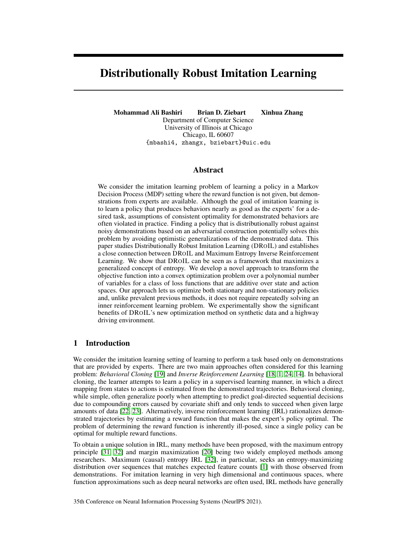For either case, assuming the reward function can be written as  $R(s, a) = \mathbf{w} \phi(s, a)$ , then w plays the role of the reward weight vector that rationalizes the demonstrated behaviors. Consequently, we can use w  $\geq$  to obtain the optimal reward function  $R$  and use an MDP solver to obtain the (deterministic) corresponding policy.

## 5 Optimization

In both stationary and non-stationary cases, any gradient descent method can be used to optimize over dual variables w. To compute the gradient, one needs to compute Q for non-stationary and  $\mathcal Q$ . However, since w is unconstrained, by adding a norm of w with hyperparameter  $\lambda$ , one can directly solve w and replace it in the objective. Since the optimization algorithms are similar in both cases, we only mention the non-stationary case:

$$
\min_{\mathbf{w}} \max_{\mathbf{Q}^2} \min_{\mathbf{P}^2} \left[ \sum_{t=0}^T \mathbf{p}_t^2 L \mathbf{q}_t + \mathbf{w}^2 \right] \quad \mathbf{w}^2 - \frac{\lambda}{2} k \mathbf{w} k^2,
$$
 (8)

and setting:  $\mathbf{w} = \frac{\sum_{t=0}^{T} \mathbf{q}_t}{\sum_{t=0}^{T} \mathbf{w}_t}$  we have:

<span id="page-6-0"></span>
$$
\max_{\mathbf{Q} \geq 2} \frac{1}{2\lambda} \left\| \cdot \cdot \cdot \cdot \frac{\sum_{t=0}^{T} \mathbf{q}_t}{\sum_{t=0}^{T} \mathbf{p}_t} \right\|^2 + \min_{\mathbf{P} \geq 2} \sum_{t=0}^{T} \mathbf{p}_t^2 \mathcal{L} \mathbf{q}_t, \tag{9}
$$

which is a constrained quadratic optimization in Q. Using Danskin's theorem, the gradient of  $q_t$  is given by

$$
\frac{1}{\lambda}(\quad > \_ \quad > \quad \sum_{t=0}^{1} T \mathbf{q}_t) \quad \text{if } \mathbf{p}_t,
$$

where p can be found using linear programming (linear objective with affine constraints) efficiently using standard linear programming toolbox. An alternative approach is to solve the dual of optimization over  $\mathbf{p}_t$  and maximize it along with **Q**.

## Algorithm 1 Distributionally Robust Imitation Learning (DROIL)

**Input:**  $D = f\tau^1, \tau^2, \ldots, \tau^m g, \ldots, p_0$ Initialize  $\mathbf{Q}^0$ , compute ~ using D, and set  $i = 0$ repeat Compute  $\int f(\mathbf{Q}^i)$  in Equation [\(9\)](#page-6-0)  $i = i + 1$ Using  $\int f(\mathbf{Q}^i)$  calculate with  $\mathbf{Q}^{i+1}$ if  $Q^{f+1}$  2 then  $\dot{\mathbf{Q}}^{i+1} = \mathbf{Q}^{i+1}$ else  $Q^{i+1}$  =project  $(Q^{i+1})$  where projection function is defined in Equation [\(10\)](#page-6-1) end if until convergence

#### Projection Step

At each iteration of the algorithm, we need to project Q to a convex domain to maintain a valid state-action distribution given and the initial state distribution. Essentially,

<span id="page-6-1"></span>
$$
\min_{\mathbf{Q}} \frac{1}{2} \sum_{t=0}^{T} j/q_t \quad \mathbf{q}_t j^2 \quad \text{s.t. } \mathbf{Q} \geq 0,
$$
\n(10)

from which, by using a Lagrangian method and strong duality, we obtain:

$$
\max_{\mathbf{V}} \min_{\mathbf{Q} \geq 2} \sum_{t=0}^{T} \frac{1}{2} k \mathbf{q}_t \quad \mathbf{q}_t k^2 + (\mathbf{q}_{t-1}^> - \mathbf{q}_t^> \mathbf{Z}) \mathbf{v}_t, \tag{11}
$$

where **Z** operator computes the state distribution:  $q_t^2 \mathbf{Z} = \sum_a q_t(s, a)$ . To compute the gradient **V**, a quadratic program over Q with probability simplex constraints needs to be solved. This can be analytically determined by sorting each  $q_t$ , which takes  $O(|S|/A)$  log( $|S|/A)$ ) time.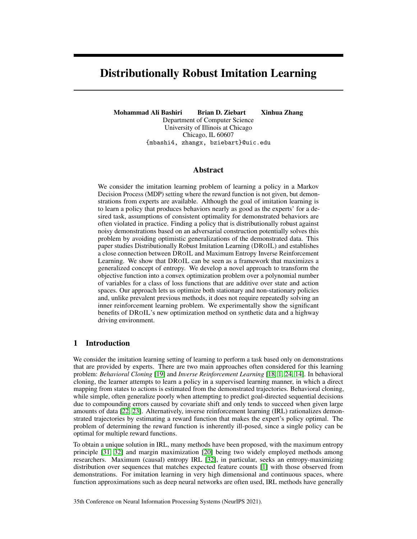## <span id="page-7-2"></span>6 Experimental Results

In our experiments, we compare DROIL with prior methods on several imitation learning tasks. We investigate: 1) How our convex optimization improves the training time compared to the double oracle method; 2) How the choice of loss function affects the performance of DROIL; and 3) How accurately DROIL predicts actions compared to other IRL methods.

#### 6.1 Training Time

To compare the training time of our proposed convex optimization with the double oracle approach [\[5\]](#page-10-10), we adopt their experimental setup in GridWorld. In this experiment, trajectories are collected from simulated navigation across a discrete 2D grid where the agent starts from a random starting point, and navigates through the grid to reach a specified target location. Taking a step in the grid has a cost and the agent's goal is to reach the target location while minimizing the accumulated navigation cost (maximizing the reward). This problem can

<span id="page-7-0"></span>

| Size | DROIL              | <b>DROIL</b> | DO    | Do    |
|------|--------------------|--------------|-------|-------|
|      | Time               | Cost         | Time  | Cost  |
| 128  | 1.6                | 7.39         | 30.1  | 7.39  |
| 432  | 1.8                | 21.61        | 42.1  | 21.74 |
| 1024 | 6.0                | 20.0         | 141.1 | 20.0  |
| 2000 | 98.6               | 30.1         | 608.1 | 30.1  |
| 3500 | 496                | 39.2         | 2020  | 39.1  |
| 5500 | יקא $\overline{8}$ | 58 7         | 4970  | 58.9  |

Table 2: Elapsed time in second until convergence with  $10^{-3}$  tolerance.

be formulated as an optimal sequential decision-making problem in a finite Markov decision process where the optimal policy is non-stationary. We consider linear cost function  $C(s) = \mathbf{w} > \phi(s) + \epsilon(s)$ , where feature function  $\phi(s, a)$  and weight vector w are drawn from  $U(0, 1)^d$ , and  $\epsilon$   $U(0, 1)$ . Transition function is non-deterministic with parameter  $p_m \n\mathcal{Z}(0, 1]$  which navigates the agent to randomly choose neighbors with probability  $(1 - p_m)$ .

The loss function for this experiment is set to 
$$
E\left[\sum_{t=0}^{T} \sqrt{(\hat{\mathbf{X}}_t - \mathbf{X}_t)^2 + (\hat{\mathbf{Y}}_t - \mathbf{Y}_t)^2}\right],
$$
 where

 $(X, Y)$  represents the grid position of the agent. We generate trajectories from the optimal policy that is obtained by solving the true reward function and train DROIL and DO until convergence. Along with expected loss, we report the elapsed time that it takes to converge for our proposed method and double oracle (DO) in Table [2,](#page-7-0) averaged over eight repetitions of the experiment for this result and our later results. As Table [2](#page-7-0) shows, our proposed method requires significantly less training time for the same performance and scales very well with the size of state space.

#### 6.2 Loss Function Effect

For the second question, we show that different choices of loss function result in different performance for the learned policy in the imitation learning setting. Therefore, the choice of loss function provides an extra tool to incorporate certain domain knowledge, and design a problem-specific loss that potentially results in better produced policies. For the purpose of comparison of different losses, we revisit the GridWord environment, however, we train several stationary policies with different losses. We consider 0-1 loss, which equally penalizes any mismatch between state-action pairs; actionloss, which incurs loss only when an action differs from another pair in the same state; random loss, which is drawn from a uniform distribution; and finally Euclidean distance between two positions in the grid. It is clear from Figure [1](#page-7-1) that the policy produced from Euclidean loss outperform other policies from other losses, which shows the benefit of using a task-specific loss function.

<span id="page-7-1"></span>

Figure 1: Performance of DROIL when different loss functions are used.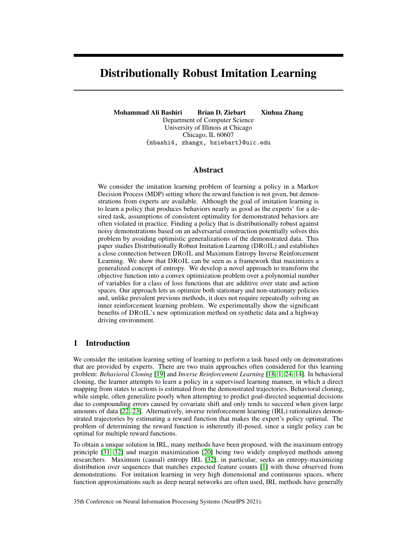#### 6.3 Highway Driving

To evaluate DROIL in a complex environment with more realistic behavior, we compared it with several other IRL methods in a highway driving simulator with non-linear reward function: MMP [\[20\]](#page-10-4), the projection algorithm of Abbeel and Ng [\[1\]](#page-10-2), and LEARCH [\[21\]](#page-11-11).

Following the setting in Levine et al. [\[16\]](#page-10-19), the task is to drive a car on a three-lane highway in which the agent can switch lanes and drive at up to four times the speed of traffic while all other vehicles move at a constant speed. The set of features includes the distance to the nearest vehicle in each lane (in front and behind), current speed, and current lane. We also evaluate each method on the original environment and on four additional random environments, denoted as "transfer". We set a uniformly random loss for DROIL and train all methods using examples sampled from the stochastic MaxEnt IRL policy which can intuitively be viewed as noisy samples of an underlying optimal policy. To evaluate the performance of each method, we use the misprediction rate, which is defined as the ratio of incorrect actions compared to the optimal policy, and the expected value difference, which measures the suboptimality of the learned policy under the true reward. Since DROIL is able to produce stochastic policy, with the same argument from [\[16\]](#page-10-19), we could evaluate the optimal stochastic policies. However, this would unfairly penalize other methods. Therefor, we first obtain the reward weight vector and find the optimal deterministic policy the corresponding reward function. Then, we measure its expected sum of discounted rewards under the true reward function, and subtract this quantity from the expected sum of discounted rewards of the optimal policy.

<span id="page-8-0"></span>

Figure 2: Expected value differences for 64-car-length highways with varying example counts. Lower values are better.

As shown in Figure [2](#page-8-0) and Figure [3,](#page-9-0) DROIL performs very well in terms of the obtained reward and the accuracy of the produced policy in both the original and transfer environments. In contrast, we find that MMP and Abbeel  $\&$  Ng's approach degrade as the number of examples increase. This matches theory since the suboptimality of the demonstrations becomes more apparent as the number of examples increases. This indicates that under noisy demonstrations (samples from a stochastic policy), a robust approach has the potential to outperform alternative approaches.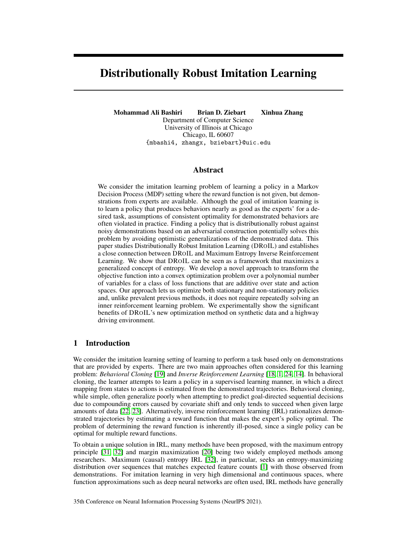<span id="page-9-0"></span>

Figure 3: Misprediction rate results for 64-car-length highways with varying example counts. Lower values are better.

# <span id="page-9-1"></span>7 Discussion & Conclusion

We demonstrated a connection between DROIL, which accepts any loss of interest, and Maximum Entropy Inverse Reinforcement Learning—one of the widely used IRL approaches—which robustly minimizes logarithmic loss. We showed that MaxEnt is a special case of DROIL framework when logarithmic loss function is used and showed that DROIL can be seen as the maximizer of a generalized concept of entropy. We provided a novel approach to cast DROIL's objective into a convex optimization over a polynomial number of variables and experimentally showed our proposed algorithm provides faster training time. DROIL is naturally designed to perform robustly against noisy demonstrations. Our experiment in the highway driving task showed that when demonstrations are noisy, it robustly learns an appropriate policy.

Improvements in imitation learning have the potential for both societal benefits and harms. For example, better imitating top surgeons could scale their abilities to a broader populations that are medically under-served. Enabling robots that better imitate effective soldiers could cause great harm if used inappropriately. Like all general purpose tools, avoiding intentional harms while still providing benefits is an unsolved challenge. We take the position that providing methods that are more robust to noise will help to avoid *unintentional* harms—the application of methods in a well-intentioned manner that fail to maximize their benefits and may instead produce harms through their fragility.

Our presented experiments are restricted to discrete/low-dimensional decision processes. For future work, we are interested in finding a connection between DROIL and the Generalized Exponential family and applying DROIL on very high dimensional state and action spaces that need function approximators such as deep neural networks.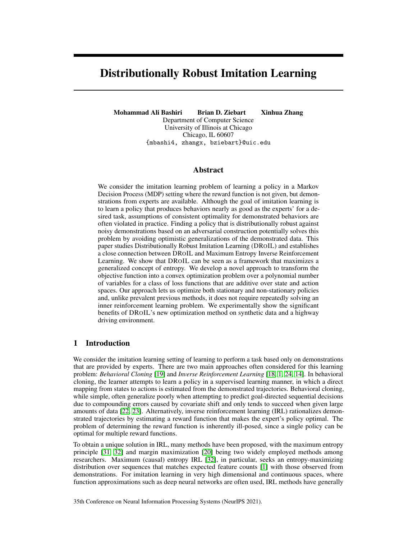## Acknowledgements

This material is based upon work supported by the National Science Foundation under Grant Nos. 1652530 and 1910146.

## References

- <span id="page-10-2"></span>[1] Pieter Abbeel and Andrew Y Ng. Apprenticeship learning via inverse reinforcement learning. In *Proceedings of the International Conference on Machine Learning*, pages 1–8. ACM, 2004.
- <span id="page-10-15"></span>[2] Kaiser Asif, Wei Xing, Sima Behpour, and Brian D. Ziebart. Adversarial cost-sensitive classification. In *Proceedings of the Conference on Uncertainty in Artificial Intelligence*, 2015.
- <span id="page-10-18"></span>[3] Ole E Barndorff-Nielsen. Information and exponential families. 1978.
- <span id="page-10-11"></span>[4] Aharon Ben-Tal, Dick Den Hertog, Anja De Waegenaere, Bertrand Melenberg, and Gijs Rennen. Robust solutions of optimization problems affected by uncertain probabilities. *Management Science*, 59(2):341–357, 2013.
- <span id="page-10-10"></span>[5] Xiangli Chen, Mathew Monfort, Brian D Ziebart, and Peter Carr. Adversarial inverse optimal control for general imitation learning losses and embodiment transfer. In *Proceedings of the Conference on Uncertainty in Artificial Intelligence*, 2016.
- <span id="page-10-12"></span>[6] Erick Delage and Yinyu Ye. Distributionally robust optimization under moment uncertainty with application to data-driven problems. *Operations research*, 58(3):595–612, 2010.
- <span id="page-10-16"></span>[7] Rizal Fathony, Mohammad Ali Bashiri, and Brian Ziebart. Adversarial surrogate losses for ordinal regression. In *Advances in Neural Information Processing Systems*, pages 563–573, 2017.
- <span id="page-10-17"></span>[8] Rizal Fathony, Ashkan Rezaei, Mohammad Ali Bashiri, Xinhua Zhang, and Brian Ziebart. Distributionally robust graphical models. In *Advances in Neural Information Processing Systems*, pages 8344–8355, 2018.
- <span id="page-10-7"></span>[9] Chelsea Finn, Paul Christiano, Pieter Abbeel, and Sergey Levine. A connection between generative adversarial networks, inverse reinforcement learning, and energy-based models. *arXiv preprint arXiv:1611.03852*, 2016.
- <span id="page-10-6"></span>[10] Chelsea Finn, Sergey Levine, and Pieter Abbeel. Guided cost learning: Deep inverse optimal control via policy optimization. In *Proceedings of the International Conference on Machine Learning*, pages 49–58, 2016.
- <span id="page-10-9"></span>[11] Justin Fu, Katie Luo, and Sergey Levine. Learning robust rewards with adversarial inverse reinforcement learning. *arXiv preprint arXiv:1710.11248*, 2017.
- <span id="page-10-14"></span>[12] Peter D. Grünwald and A. Phillip Dawid. Game theory, maximum entropy, minimum discrepancy, and robust Bayesian decision theory. *Annals of Statistics*, 32:1367–1433, 2004.
- <span id="page-10-5"></span>[13] Jonathan Ho and Stefano Ermon. Generative adversarial imitation learning. In *Advances in Neural Information Processing Systems*, pages 4565–4573, 2016.
- <span id="page-10-3"></span>[14] Rust John. Maximum likelihood estimation of discrete control processes. *SIAM Journal on Control and Optimization*, 26(5):1006–1024, 1988.
- <span id="page-10-8"></span>[15] Michael Laskey, Jonathan Lee, Roy Fox, Anca Dragan, and Ken Goldberg. Dart: Noise injection for robust imitation learning. *arXiv preprint arXiv:1703.09327*, 2017.
- <span id="page-10-19"></span>[16] Sergey Levine, Zoran Popovic, and Vladlen Koltun. Nonlinear inverse reinforcement learning with Gaussian processes. *Advances in Neural Information Processing Systems*, 24:19–27, 2011.
- <span id="page-10-13"></span>[17] H Brendan McMahan, Geoffrey J Gordon, and Avrim Blum. Planning in the presence of cost functions controlled by an adversary. In *Proceedings of the International Conference on Machine Learning*, pages 536–543, 2003.
- <span id="page-10-1"></span>[18] Andrew Y Ng and Stuart J Russell. Algorithms for inverse reinforcement learning. In *Proceedings of the International Conference on Machine Learning*, pages 663–670, 2000.
- <span id="page-10-0"></span>[19] Dean A Pomerleau. ALVINN: An autonomous land vehicle in a neural network. In *Advances in Neural Information Processing Systems*, pages 305–313, 1989.
- <span id="page-10-4"></span>[20] Nathan D Ratliff, J Andrew Bagnell, and Martin A Zinkevich. Maximum margin planning. In *Proceedings of the International Conference on Machine Learning*, pages 729–736, 2006.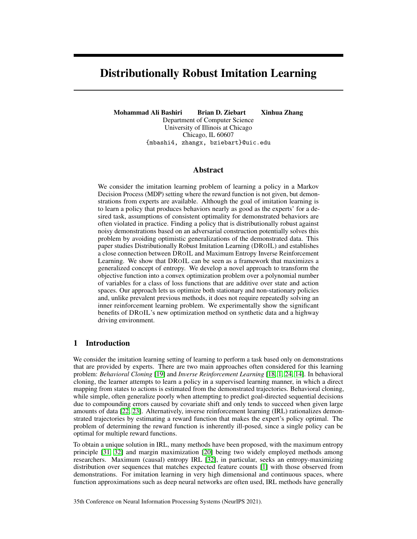- <span id="page-11-11"></span>[21] Nathan D Ratliff, David Silver, and J Andrew Bagnell. Learning to search: Functional gradient techniques for imitation learning. *Autonomous Robots*, 27(1):25–53, 2009.
- <span id="page-11-1"></span>[22] Stéphane Ross and Drew Bagnell. Efficient reductions for imitation learning. In *Proceedings of the International Conference on Artificial Intelligence and Statistics*, pages 661–668, 2010.
- <span id="page-11-2"></span>[23] Stéphane Ross, Geoffrey Gordon, and Drew Bagnell. A reduction of imitation learning and structured prediction to no-regret online learning. In *Proceedings of the International Conference on Artificial Intelligence and Statistics*, pages 627–635, 2011.
- <span id="page-11-0"></span>[24] Stuart J Russell. Learning agents for uncertain environments. In *COLT*, volume 98, pages 101–103, 1998.
- <span id="page-11-5"></span>[25] Gokul Swamy, Sanjiban Choudhury, J Andrew Bagnell, and Steven Wu. Of moments and matching: A game-theoretic framework for closing the imitation gap. In *Proceedings of the International Conference on Machine Learning*, pages 10022–10032, 2021.
- <span id="page-11-10"></span>[26] Umar Syed, Michael Bowling, and Robert E Schapire. Apprenticeship learning using linear programming. In *Proceedings of the International Conference on Machine Learning*, pages 1032–1039, 2008.
- <span id="page-11-7"></span>[27] Flemming Topsøe. Information theoretical optimization techniques. *Kybernetika*, 15(1):8–27, 1979.
- <span id="page-11-9"></span>[28] John Von Neumann. Uber ein okonomsiches gleichungssystem und eine verallgemeinering des browerschen fixpunktsatzes. In *Erge. Math. Kolloq.*, volume 8, pages 73–83, 1937.
- <span id="page-11-8"></span>[29] Hong Wang, Wei Xing, Kaiser Asif, and Brian Ziebart. Adversarial prediction games for multivariate losses. In *Advances in Neural Information Processing Systems*, pages 2710–2718, 2015.
- <span id="page-11-6"></span>[30] Jiangchuan Zheng, Siyuan Liu, and Lionel M Ni. Robust Bayesian inverse reinforcement learning with sparse behavior noise. In *Proceedings of the AAAI Conference on Artificial Intelligence*, 2014.
- <span id="page-11-3"></span>[31] Brian D Ziebart, Andrew Maas, J Andrew Bagnell, and Anind K Dey. Maximum entropy inverse reinforcement learning. In *Proceedings of the AAAI Conference on Artificial Intelligence*, pages 1433–1438, 2008.
- <span id="page-11-4"></span>[32] Brian D Ziebart, J Andrew Bagnell, and Anind K Dey. Modeling interaction via the principle of maximum causal entropy. In *Proceedings of the International Conference on Machine Learning*, 2010.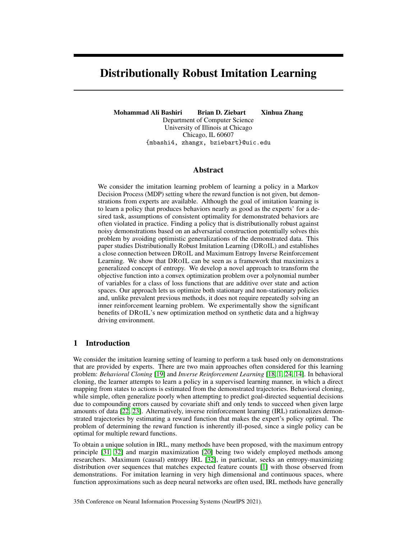## **Checklist**

- 1. For all authors...
	- (a) Do the main claims made in the abstract and introduction accurately reflect the paper's contributions and scope? [Yes] Theoretical claims are supported by theorems and experimental claims are supported empirically.
	- (b) Did you describe the limitations of your work? [Yes] See Section [7.](#page-9-1)
	- (c) Did you discuss any potential negative societal impacts of your work? [Yes] See Section [7.](#page-9-1)
	- (d) Have you read the ethics review guidelines and ensured that your paper conforms to them? [Yes]
- 2. If you are including theoretical results...
	- (a) Did you state the full set of assumptions of all theoretical results? [Yes] We discussed them in each Theorem
	- (b) Did you include complete proofs of all theoretical results? [Yes] We include these in Supplementary materials.
- 3. If you ran experiments...
	- (a) Did you include the code, data, and instructions needed to reproduce the main experimental results (either in the supplemental material or as a URL)? [Yes] We provide these in the supplementary materials.
	- (b) Did you specify all the training details (e.g., data splits, hyperparameters, how they were chosen)? [Yes]
	- (c) Did you report error bars (e.g., with respect to the random seed after running experiments multiple times)? [Yes]
	- (d) Did you include the total amount of compute and the type of resources used (e.g., type of GPUs, internal cluster, or cloud provider)? [Yes] We describe these details in the supplementary materials.
- 4. If you are using existing assets (e.g., code, data, models) or curating/releasing new assets...
	- (a) If your work uses existing assets, did you cite the creators? [Yes] See Section [6.](#page-7-2)
	- (b) Did you mention the license of the assets? [N/A]
	- (c) Did you include any new assets either in the supplemental material or as a URL? [Yes] See the Supplementary Materials.
	- (d) Did you discuss whether and how consent was obtained from people whose data you're using/curating? [N/A]
	- (e) Did you discuss whether the data you are using/curating contains personally identifiable information or offensive content? [N/A]
- 5. If you used crowdsourcing or conducted research with human subjects...
	- (a) Did you include the full text of instructions given to participants and screenshots, if applicable? [N/A]
	- (b) Did you describe any potential participant risks, with links to Institutional Review Board (IRB) approvals, if applicable? [N/A]
	- (c) Did you include the estimated hourly wage paid to participants and the total amount spent on participant compensation? [N/A]